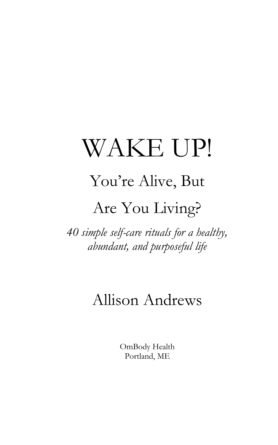# WAKE UP!

# You're Alive, But

#### Are You Living?

*40 simple self-care rituals for a healthy, abundant, and purposeful life*

#### Allison Andrews

OmBody Health Portland, ME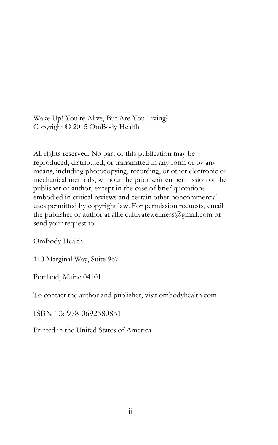Wake Up! You're Alive, But Are You Living? Copyright © 2015 OmBody Health

All rights reserved. No part of this publication may be reproduced, distributed, or transmitted in any form or by any means, including photocopying, recording, or other electronic or mechanical methods, without the prior written permission of the publisher or author, except in the case of brief quotations embodied in critical reviews and certain other noncommercial uses permitted by copyright law. For permission requests, email the publisher or author at allie.cultivatewellness@gmail.com or send your request to:

OmBody Health

110 Marginal Way, Suite 967

Portland, Maine 04101.

To contact the author and publisher, visit ombodyhealth.com

ISBN-13: 978-0692580851

Printed in the United States of America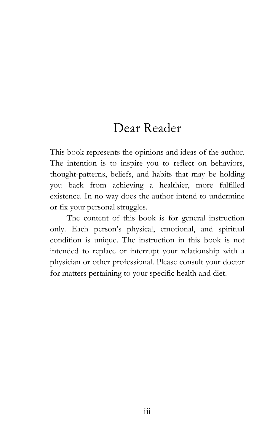#### Dear Reader

This book represents the opinions and ideas of the author. The intention is to inspire you to reflect on behaviors, thought-patterns, beliefs, and habits that may be holding you back from achieving a healthier, more fulfilled existence. In no way does the author intend to undermine or fix your personal struggles.

The content of this book is for general instruction only. Each person's physical, emotional, and spiritual condition is unique. The instruction in this book is not intended to replace or interrupt your relationship with a physician or other professional. Please consult your doctor for matters pertaining to your specific health and diet.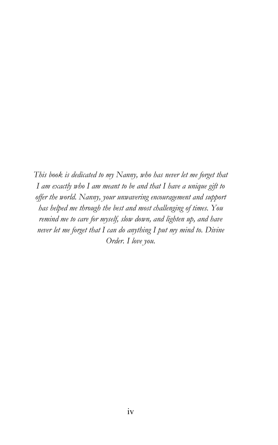*This book is dedicated to my Nanny, who has never let me forget that I am exactly who I am meant to be and that I have a unique gift to offer the world. Nanny, your unwavering encouragement and support has helped me through the best and most challenging of times. You remind me to care for myself, slow down, and lighten up, and have never let me forget that I can do anything I put my mind to. Divine Order. I love you.*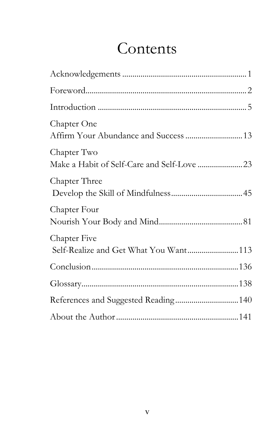# Contents

| Chapter One<br>Affirm Your Abundance and Success  13  |  |
|-------------------------------------------------------|--|
| Chapter Two                                           |  |
| Chapter Three                                         |  |
| Chapter Four                                          |  |
| Chapter Five<br>Self-Realize and Get What You Want113 |  |
|                                                       |  |
|                                                       |  |
| References and Suggested Reading140                   |  |
|                                                       |  |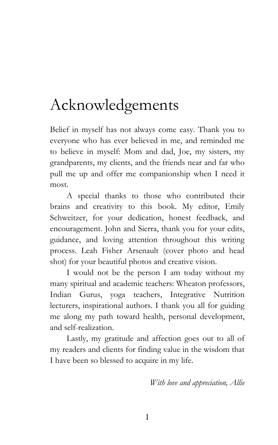### Acknowledgements

Belief in myself has not always come easy. Thank you to everyone who has ever believed in me, and reminded me to believe in myself: Mom and dad, Joe, my sisters, my grandparents, my clients, and the friends near and far who pull me up and offer me companionship when I need it most.

A special thanks to those who contributed their brains and creativity to this book. My editor, Emily Schweitzer, for your dedication, honest feedback, and encouragement. John and Sierra, thank you for your edits, guidance, and loving attention throughout this writing process. Leah Fisher Arsenault (cover photo and head shot) for your beautiful photos and creative vision.

I would not be the person I am today without my many spiritual and academic teachers: Wheaton professors, Indian Gurus, yoga teachers, Integrative Nutrition lecturers, inspirational authors. I thank you all for guiding me along my path toward health, personal development, and self-realization.

Lastly, my gratitude and affection goes out to all of my readers and clients for finding value in the wisdom that I have been so blessed to acquire in my life.

*With love and appreciation, Allie*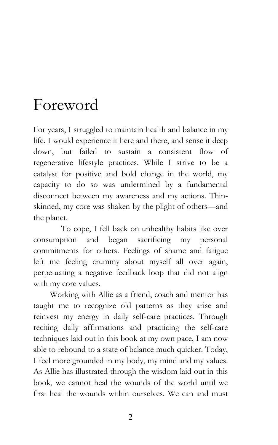#### Foreword

For years, I struggled to maintain health and balance in my life. I would experience it here and there, and sense it deep down, but failed to sustain a consistent flow of regenerative lifestyle practices. While I strive to be a catalyst for positive and bold change in the world, my capacity to do so was undermined by a fundamental disconnect between my awareness and my actions. Thinskinned, my core was shaken by the plight of others—and the planet.

To cope, I fell back on unhealthy habits like over consumption and began sacrificing my personal commitments for others. Feelings of shame and fatigue left me feeling crummy about myself all over again, perpetuating a negative feedback loop that did not align with my core values.

Working with Allie as a friend, coach and mentor has taught me to recognize old patterns as they arise and reinvest my energy in daily self-care practices. Through reciting daily affirmations and practicing the self-care techniques laid out in this book at my own pace, I am now able to rebound to a state of balance much quicker. Today, I feel more grounded in my body, my mind and my values. As Allie has illustrated through the wisdom laid out in this book, we cannot heal the wounds of the world until we first heal the wounds within ourselves. We can and must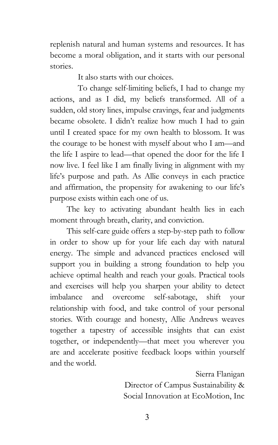replenish natural and human systems and resources. It has become a moral obligation, and it starts with our personal stories.

It also starts with our choices.

To change self-limiting beliefs, I had to change my actions, and as I did, my beliefs transformed. All of a sudden, old story lines, impulse cravings, fear and judgments became obsolete. I didn't realize how much I had to gain until I created space for my own health to blossom. It was the courage to be honest with myself about who I am—and the life I aspire to lead—that opened the door for the life I now live. I feel like I am finally living in alignment with my life's purpose and path. As Allie conveys in each practice and affirmation, the propensity for awakening to our life's purpose exists within each one of us.

The key to activating abundant health lies in each moment through breath, clarity, and conviction.

This self-care guide offers a step-by-step path to follow in order to show up for your life each day with natural energy. The simple and advanced practices enclosed will support you in building a strong foundation to help you achieve optimal health and reach your goals. Practical tools and exercises will help you sharpen your ability to detect imbalance and overcome self-sabotage, shift your relationship with food, and take control of your personal stories. With courage and honesty, Allie Andrews weaves together a tapestry of accessible insights that can exist together, or independently—that meet you wherever you are and accelerate positive feedback loops within yourself and the world.

> Sierra Flanigan Director of Campus Sustainability & Social Innovation at EcoMotion, Inc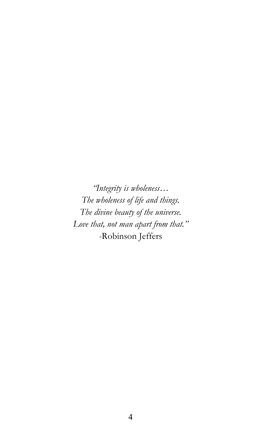*"Integrity is wholeness… The wholeness of life and things. The divine beauty of the universe. Love that, not man apart from that."* -Robinson Jeffers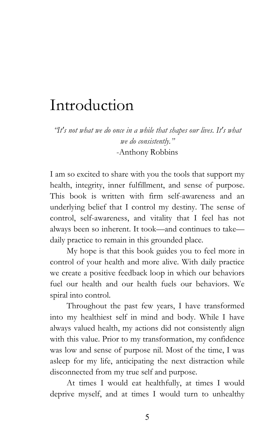#### Introduction

*"It's not what we do once in a while that shapes our lives. It's what we do consistently."* -Anthony Robbins

I am so excited to share with you the tools that support my health, integrity, inner fulfillment, and sense of purpose. This book is written with firm self-awareness and an underlying belief that I control my destiny. The sense of control, self-awareness, and vitality that I feel has not always been so inherent. It took—and continues to take daily practice to remain in this grounded place.

My hope is that this book guides you to feel more in control of your health and more alive. With daily practice we create a positive feedback loop in which our behaviors fuel our health and our health fuels our behaviors. We spiral into control.

Throughout the past few years, I have transformed into my healthiest self in mind and body. While I have always valued health, my actions did not consistently align with this value. Prior to my transformation, my confidence was low and sense of purpose nil. Most of the time, I was asleep for my life, anticipating the next distraction while disconnected from my true self and purpose.

At times I would eat healthfully, at times I would deprive myself, and at times I would turn to unhealthy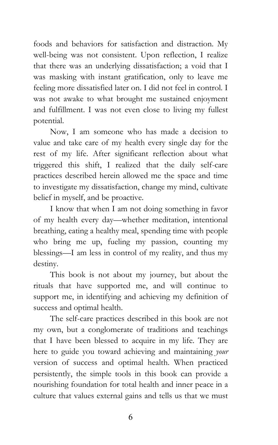foods and behaviors for satisfaction and distraction. My well-being was not consistent. Upon reflection, I realize that there was an underlying dissatisfaction; a void that I was masking with instant gratification, only to leave me feeling more dissatisfied later on. I did not feel in control. I was not awake to what brought me sustained enjoyment and fulfillment. I was not even close to living my fullest potential.

Now, I am someone who has made a decision to value and take care of my health every single day for the rest of my life. After significant reflection about what triggered this shift, I realized that the daily self-care practices described herein allowed me the space and time to investigate my dissatisfaction, change my mind, cultivate belief in myself, and be proactive.

I know that when I am not doing something in favor of my health every day—whether meditation, intentional breathing, eating a healthy meal, spending time with people who bring me up, fueling my passion, counting my blessings—I am less in control of my reality, and thus my destiny.

This book is not about my journey, but about the rituals that have supported me, and will continue to support me, in identifying and achieving my definition of success and optimal health.

The self-care practices described in this book are not my own, but a conglomerate of traditions and teachings that I have been blessed to acquire in my life. They are here to guide you toward achieving and maintaining *your*  version of success and optimal health. When practiced persistently, the simple tools in this book can provide a nourishing foundation for total health and inner peace in a culture that values external gains and tells us that we must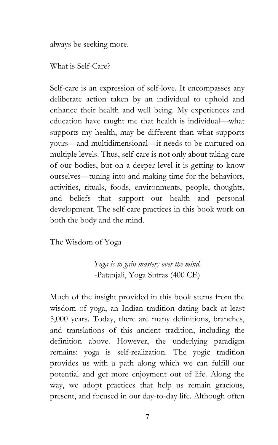always be seeking more.

What is Self-Care?

Self-care is an expression of self-love. It encompasses any deliberate action taken by an individual to uphold and enhance their health and well being. My experiences and education have taught me that health is individual—what supports my health, may be different than what supports yours—and multidimensional—it needs to be nurtured on multiple levels. Thus, self-care is not only about taking care of our bodies, but on a deeper level it is getting to know ourselves—tuning into and making time for the behaviors, activities, rituals, foods, environments, people, thoughts, and beliefs that support our health and personal development. The self-care practices in this book work on both the body and the mind.

The Wisdom of Yoga

*Yoga is to gain mastery over the mind.* -Patanjali, Yoga Sutras (400 CE)

Much of the insight provided in this book stems from the wisdom of yoga, an Indian tradition dating back at least 5,000 years. Today, there are many definitions, branches, and translations of this ancient tradition, including the definition above. However, the underlying paradigm remains: yoga is self-realization. The yogic tradition provides us with a path along which we can fulfill our potential and get more enjoyment out of life. Along the way, we adopt practices that help us remain gracious, present, and focused in our day-to-day life. Although often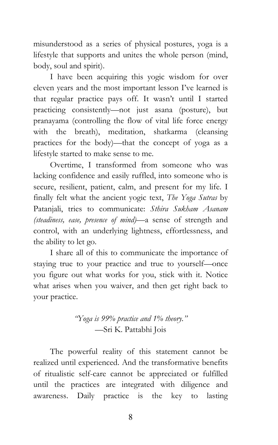misunderstood as a series of physical postures, yoga is a lifestyle that supports and unites the whole person (mind, body, soul and spirit).

I have been acquiring this yogic wisdom for over eleven years and the most important lesson I've learned is that regular practice pays off. It wasn't until I started practicing consistently—not just asana (posture), but pranayama (controlling the flow of vital life force energy with the breath), meditation, shatkarma (cleansing practices for the body)—that the concept of yoga as a lifestyle started to make sense to me.

Overtime, I transformed from someone who was lacking confidence and easily ruffled, into someone who is secure, resilient, patient, calm, and present for my life. I finally felt what the ancient yogic text, *The Yoga Sutras* by Patanjali, tries to communicate: *Sthira Sukham Asanam (steadiness, ease, presence of mind)*—a sense of strength and control, with an underlying lightness, effortlessness, and the ability to let go.

I share all of this to communicate the importance of staying true to your practice and true to yourself—once you figure out what works for you, stick with it. Notice what arises when you waiver, and then get right back to your practice.

> *"Yoga is 99% practice and 1% theory."* —Sri K. Pattabhi Jois

The powerful reality of this statement cannot be realized until experienced. And the transformative benefits of ritualistic self-care cannot be appreciated or fulfilled until the practices are integrated with diligence and awareness. Daily practice is the key to lasting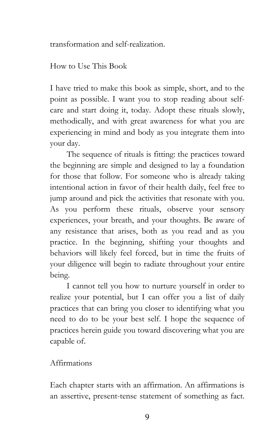transformation and self-realization.

How to Use This Book

I have tried to make this book as simple, short, and to the point as possible. I want you to stop reading about selfcare and start doing it, today. Adopt these rituals slowly, methodically, and with great awareness for what you are experiencing in mind and body as you integrate them into your day.

The sequence of rituals is fitting: the practices toward the beginning are simple and designed to lay a foundation for those that follow. For someone who is already taking intentional action in favor of their health daily, feel free to jump around and pick the activities that resonate with you. As you perform these rituals, observe your sensory experiences, your breath, and your thoughts. Be aware of any resistance that arises, both as you read and as you practice. In the beginning, shifting your thoughts and behaviors will likely feel forced, but in time the fruits of your diligence will begin to radiate throughout your entire being.

I cannot tell you how to nurture yourself in order to realize your potential, but I can offer you a list of daily practices that can bring you closer to identifying what you need to do to be your best self. I hope the sequence of practices herein guide you toward discovering what you are capable of.

#### Affirmations

Each chapter starts with an affirmation. An affirmations is an assertive, present-tense statement of something as fact.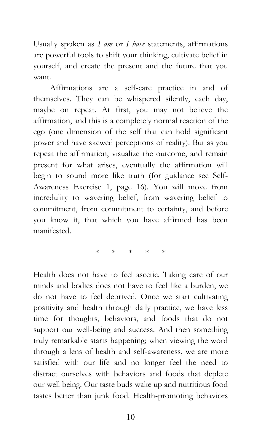Usually spoken as *I am* or *I have* statements, affirmations are powerful tools to shift your thinking, cultivate belief in yourself, and create the present and the future that you want.

Affirmations are a self-care practice in and of themselves. They can be whispered silently, each day, maybe on repeat. At first, you may not believe the affirmation, and this is a completely normal reaction of the ego (one dimension of the self that can hold significant power and have skewed perceptions of reality). But as you repeat the affirmation, visualize the outcome, and remain present for what arises, eventually the affirmation will begin to sound more like truth (for guidance see Self-Awareness Exercise 1, page 16). You will move from incredulity to wavering belief, from wavering belief to commitment, from commitment to certainty, and before you know it, that which you have affirmed has been manifested.

\* \* \* \* \*

Health does not have to feel ascetic. Taking care of our minds and bodies does not have to feel like a burden, we do not have to feel deprived. Once we start cultivating positivity and health through daily practice, we have less time for thoughts, behaviors, and foods that do not support our well-being and success. And then something truly remarkable starts happening; when viewing the word through a lens of health and self-awareness, we are more satisfied with our life and no longer feel the need to distract ourselves with behaviors and foods that deplete our well being. Our taste buds wake up and nutritious food tastes better than junk food. Health-promoting behaviors